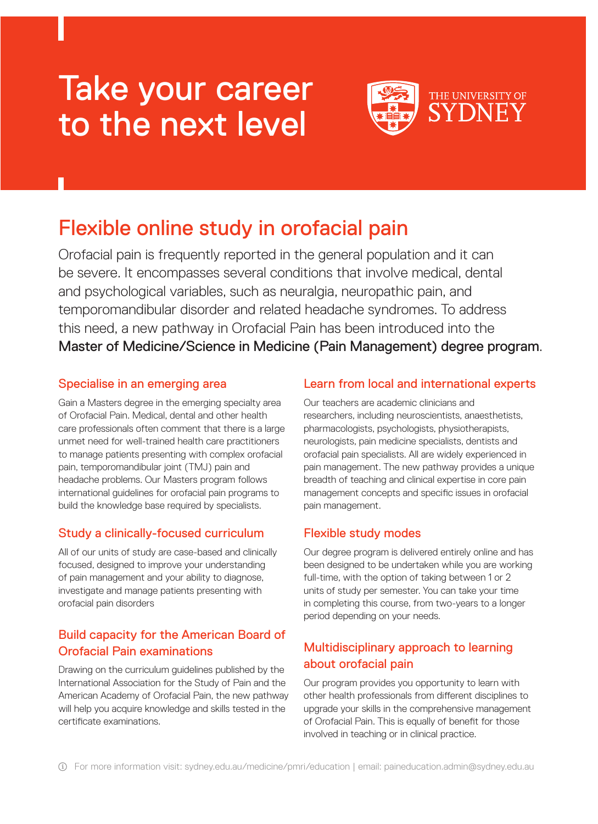# Take your career to the next level



## Flexible online study in orofacial pain

Orofacial pain is frequently reported in the general population and it can be severe. It encompasses several conditions that involve medical, dental and psychological variables, such as neuralgia, neuropathic pain, and temporomandibular disorder and related headache syndromes. To address this need, a new pathway in Orofacial Pain has been introduced into the Master of Medicine/Science in Medicine (Pain Management) degree program.

#### Specialise in an emerging area

Gain a Masters degree in the emerging specialty area of Orofacial Pain. Medical, dental and other health care professionals often comment that there is a large unmet need for well-trained health care practitioners to manage patients presenting with complex orofacial pain, temporomandibular joint (TMJ) pain and headache problems. Our Masters program follows international guidelines for orofacial pain programs to build the knowledge base required by specialists.

#### Study a clinically-focused curriculum

All of our units of study are case-based and clinically focused, designed to improve your understanding of pain management and your ability to diagnose, investigate and manage patients presenting with orofacial pain disorders

#### Build capacity for the American Board of Orofacial Pain examinations

Drawing on the curriculum guidelines published by the International Association for the Study of Pain and the American Academy of Orofacial Pain, the new pathway will help you acquire knowledge and skills tested in the certificate examinations.

#### Learn from local and international experts

Our teachers are academic clinicians and researchers, including neuroscientists, anaesthetists, pharmacologists, psychologists, physiotherapists, neurologists, pain medicine specialists, dentists and orofacial pain specialists. All are widely experienced in pain management. The new pathway provides a unique breadth of teaching and clinical expertise in core pain management concepts and specific issues in orofacial pain management.

#### Flexible study modes

Our degree program is delivered entirely online and has been designed to be undertaken while you are working full-time, with the option of taking between 1 or 2 units of study per semester. You can take your time in completing this course, from two-years to a longer period depending on your needs.

### Multidisciplinary approach to learning about orofacial pain

Our program provides you opportunity to learn with other health professionals from different disciplines to upgrade your skills in the comprehensive management of Orofacial Pain. This is equally of benefit for those involved in teaching or in clinical practice.